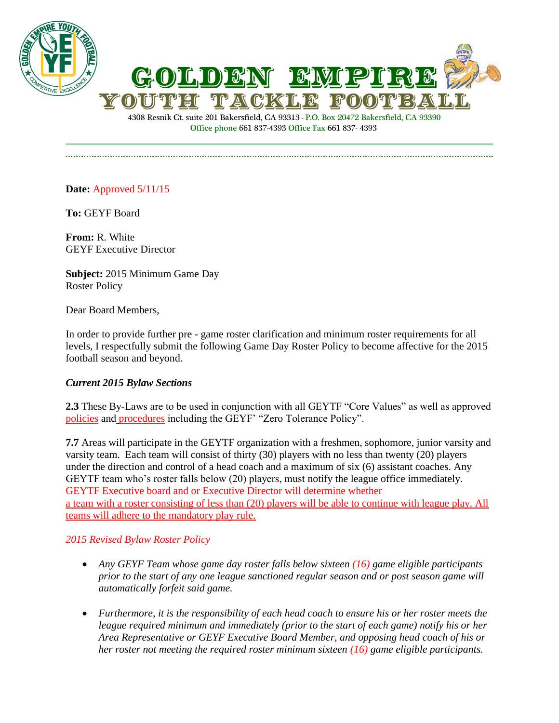



4308 Resnik Ct. suite 201 Bakersfield, CA 93313 - P.O. Box 20472 Bakersfield, CA 93390 Office phone 661 837-4393 Office Fax 661 837- 4393

## **Date:** Approved 5/11/15

**To:** GEYF Board

**From:** R. White GEYF Executive Director

**Subject:** 2015 Minimum Game Day Roster Policy

Dear Board Members,

In order to provide further pre - game roster clarification and minimum roster requirements for all levels, I respectfully submit the following Game Day Roster Policy to become affective for the 2015 football season and beyond.

## *Current 2015 Bylaw Sections*

**2.3** These By-Laws are to be used in conjunction with all GEYTF "Core Values" as well as approved policies and procedures including the GEYF' "Zero Tolerance Policy".

**7.7** Areas will participate in the GEYTF organization with a freshmen, sophomore, junior varsity and varsity team. Each team will consist of thirty (30) players with no less than twenty (20) players under the direction and control of a head coach and a maximum of six (6) assistant coaches. Any GEYTF team who's roster falls below (20) players, must notify the league office immediately. GEYTF Executive board and or Executive Director will determine whether a team with a roster consisting of less than (20) players will be able to continue with league play. All teams will adhere to the mandatory play rule.

## *2015 Revised Bylaw Roster Policy*

- *Any GEYF Team whose game day roster falls below sixteen (16) game eligible participants prior to the start of any one league sanctioned regular season and or post season game will automatically forfeit said game.*
- *Furthermore, it is the responsibility of each head coach to ensure his or her roster meets the league required minimum and immediately (prior to the start of each game) notify his or her Area Representative or GEYF Executive Board Member, and opposing head coach of his or her roster not meeting the required roster minimum sixteen (16) game eligible participants.*